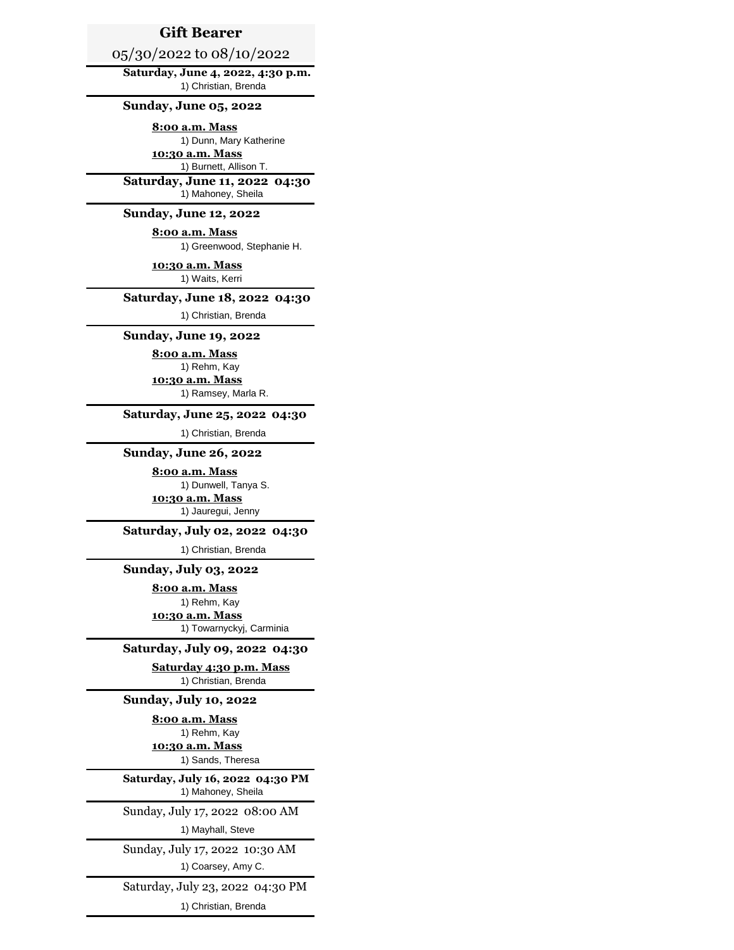# **Gift Bearer**

# 05/30/2022 to 08/10/2022

**Saturday, June 4, 2022, 4:30 p.m.**  1) Christian, Brenda

### **Sunday, June 05, 2022**

**8:00 a.m. Mass**

1) Dunn, Mary Katherine **10:30 a.m. Mass** 1) Burnett, Allison T.

**Saturday, June 11, 2022 04:30** 1) Mahoney, Sheila

### **Sunday, June 12, 2022**

**8:00 a.m. Mass** 1) Greenwood, Stephanie H.

**10:30 a.m. Mass** 1) Waits, Kerri

#### **Saturday, June 18, 2022 04:30**

1) Christian, Brenda

## **Sunday, June 19, 2022**

**8:00 a.m. Mass** 1) Rehm, Kay

**10:30 a.m. Mass** 1) Ramsey, Marla R.

## **Saturday, June 25, 2022 04:30**

1) Christian, Brenda

## **Sunday, June 26, 2022**

**8:00 a.m. Mass** 1) Dunwell, Tanya S. **10:30 a.m. Mass** 1) Jauregui, Jenny

## **Saturday, July 02, 2022 04:30**

1) Christian, Brenda

**Sunday, July 03, 2022** 

**8:00 a.m. Mass** 1) Rehm, Kay

**10:30 a.m. Mass** 1) Towarnyckyj, Carminia

# **Saturday, July 09, 2022 04:30**

**Saturday 4:30 p.m. Mass** 1) Christian, Brenda

### **Sunday, July 10, 2022**

**8:00 a.m. Mass**

1) Sands, Theresa 1) Rehm, Kay **10:30 a.m. Mass**

### 1) Mahoney, Sheila **Saturday, July 16, 2022 04:30 PM**

Sunday, July 17, 2022 08:00 AM

1) Mayhall, Steve

## Sunday, July 17, 2022 10:30 AM

1) Coarsey, Amy C.

#### Saturday, July 23, 2022 04:30 PM

1) Christian, Brenda